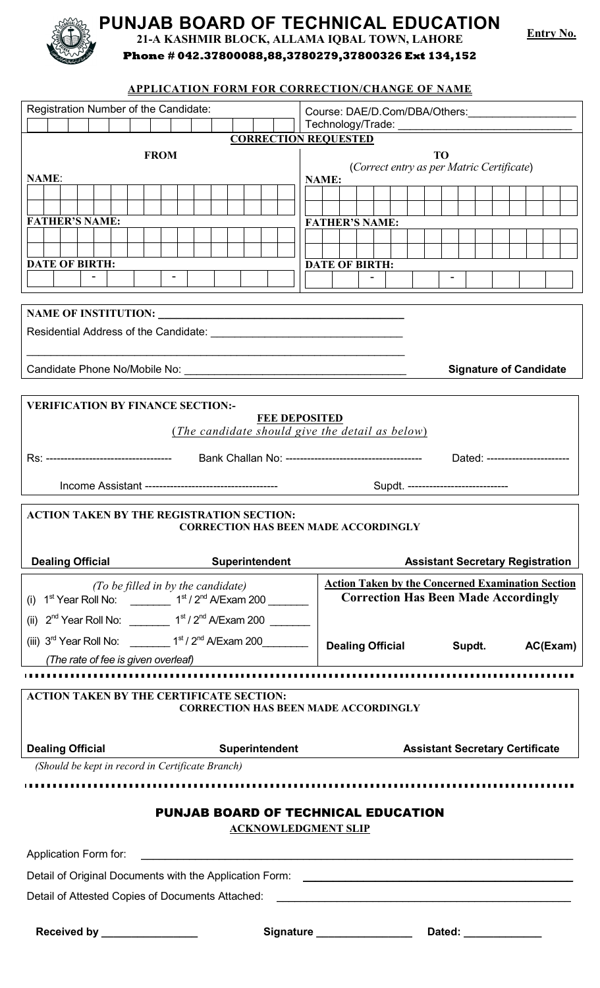

**PUNJAB BOARD OF TECHNICAL EDUCATION**

**21-A KASHMIR BLOCK, ALLAMA IQBAL TOWN, LAHORE**

**Entry No.**

**Phone # 042.37800088,88,3780279,37800326 Ext 134,152**

## **APPLICATION FORM FOR CORRECTION/CHANGE OF NAME**

| Registration Number of the Candidate:                                                                                                                                                                                          | Course: DAE/D.Com/DBA/Others: _____________________                                                     |  |  |
|--------------------------------------------------------------------------------------------------------------------------------------------------------------------------------------------------------------------------------|---------------------------------------------------------------------------------------------------------|--|--|
|                                                                                                                                                                                                                                |                                                                                                         |  |  |
| <b>CORRECTION REQUESTED</b><br><b>FROM</b><br><b>TO</b>                                                                                                                                                                        |                                                                                                         |  |  |
|                                                                                                                                                                                                                                | (Correct entry as per Matric Certificate)                                                               |  |  |
| <b>NAME:</b>                                                                                                                                                                                                                   | <b>NAME:</b>                                                                                            |  |  |
|                                                                                                                                                                                                                                |                                                                                                         |  |  |
| <b>FATHER'S NAME:</b>                                                                                                                                                                                                          | <b>FATHER'S NAME:</b>                                                                                   |  |  |
|                                                                                                                                                                                                                                |                                                                                                         |  |  |
| <b>DATE OF BIRTH:</b>                                                                                                                                                                                                          | <b>DATE OF BIRTH:</b>                                                                                   |  |  |
|                                                                                                                                                                                                                                |                                                                                                         |  |  |
|                                                                                                                                                                                                                                |                                                                                                         |  |  |
|                                                                                                                                                                                                                                |                                                                                                         |  |  |
|                                                                                                                                                                                                                                |                                                                                                         |  |  |
| Candidate Phone No/Mobile No: \\contact \\contact \\contact \\contact \\contact \\contact \\contact \\contact \\contact \\contact \\contact \\contact \\contact \\contact \\contact \\contact \\contact \\contact \\contact \\ | <b>Signature of Candidate</b>                                                                           |  |  |
|                                                                                                                                                                                                                                |                                                                                                         |  |  |
| <b>VERIFICATION BY FINANCE SECTION:-</b>                                                                                                                                                                                       |                                                                                                         |  |  |
|                                                                                                                                                                                                                                | <b>FEE DEPOSITED</b>                                                                                    |  |  |
|                                                                                                                                                                                                                                | (The candidate should give the detail as below)                                                         |  |  |
|                                                                                                                                                                                                                                |                                                                                                         |  |  |
|                                                                                                                                                                                                                                | Supdt. ----------------------------                                                                     |  |  |
|                                                                                                                                                                                                                                |                                                                                                         |  |  |
| <b>ACTION TAKEN BY THE REGISTRATION SECTION:</b><br><b>CORRECTION HAS BEEN MADE ACCORDINGLY</b>                                                                                                                                |                                                                                                         |  |  |
|                                                                                                                                                                                                                                |                                                                                                         |  |  |
| <b>Dealing Official</b><br>Superintendent                                                                                                                                                                                      | <b>Assistant Secretary Registration</b>                                                                 |  |  |
| (To be filled in by the candidate)<br>(i) $1^{st}$ Year Roll No: _________ $1^{st}/2^{nd}$ A/Exam 200 _______                                                                                                                  | <b>Action Taken by the Concerned Examination Section</b><br><b>Correction Has Been Made Accordingly</b> |  |  |
| (ii) $2^{nd}$ Year Roll No: __________ $1^{st}/2^{nd}$ A/Exam 200 ________                                                                                                                                                     |                                                                                                         |  |  |
| (iii) $3^{\text{rd}}$ Year Roll No: ____________ 1 <sup>st</sup> / 2 <sup>nd</sup> A/Exam 200_____________                                                                                                                     | Dealing Official Supdt.<br>AC(Exam)                                                                     |  |  |
| (The rate of fee is given overleaf)                                                                                                                                                                                            |                                                                                                         |  |  |
|                                                                                                                                                                                                                                |                                                                                                         |  |  |
| <b>ACTION TAKEN BY THE CERTIFICATE SECTION:</b>                                                                                                                                                                                |                                                                                                         |  |  |
| <b>CORRECTION HAS BEEN MADE ACCORDINGLY</b>                                                                                                                                                                                    |                                                                                                         |  |  |
| <b>Dealing Official</b>                                                                                                                                                                                                        | Superintendent Management Assistant Secretary Certificate                                               |  |  |
| (Should be kept in record in Certificate Branch)                                                                                                                                                                               |                                                                                                         |  |  |
|                                                                                                                                                                                                                                |                                                                                                         |  |  |
| <b>PUNJAB BOARD OF TECHNICAL EDUCATION</b>                                                                                                                                                                                     |                                                                                                         |  |  |
| <b>ACKNOWLEDGMENT SLIP</b>                                                                                                                                                                                                     |                                                                                                         |  |  |
|                                                                                                                                                                                                                                |                                                                                                         |  |  |
| Detail of Original Documents with the Application Form:<br><u>Detail of Original Documents with the Application Form:</u>                                                                                                      |                                                                                                         |  |  |
| Detail of Attested Copies of Documents Attached: ________________________________                                                                                                                                              |                                                                                                         |  |  |
|                                                                                                                                                                                                                                |                                                                                                         |  |  |
| Received by ________________                                                                                                                                                                                                   | Signature Dated: Dated:                                                                                 |  |  |